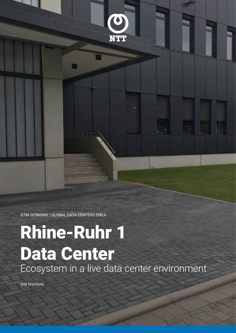GTM GERMANY | GLOBAL DATA CENTERS EMEA

## Rhine-Ruhr 1 Data Center

Ecosystem in a live data center environment

 $\bullet$ 

NTT

Site brochure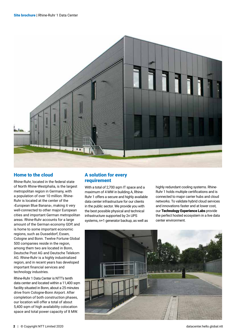

#### Home to the cloud

Rhine-Ruhr, located in the federal state of North Rhine-Westphalia, is the largest metropolitan region in Germany, with a population of over 10 million. Rhine-Ruhr is located at the center of the ›European Blue Banana‹, making it very well-connected to other major European cities and important German metropolitan areas. Rhine-Ruhr accounts for a large amount of the German economy GDP, and is home to some important economic regions, such as Dusseldorf, Essen, Cologne and Bonn. Twelve Fortune Global 500 companies reside in the region, among them two are located in Bonn, Deutsche Post AG and Deutsche Telekom AG. Rhine-Ruhr is a highly industrialized region, and in recent years has developed important financial services and technology industries.

Rhine-Ruhr 1 Data Center is NTT's tenth data center and located within a 11,400 sqm facility situated in Bonn, about a 25 minutes drive from Cologne-Bonn Airport. After completion of both construction phases, our location will offer a total of about 5,400 sqm of high availability colocation space and total power capacity of 8 MW.

#### A solution for every requirement

With a total of 2,700 sqm IT space and a maximum of 4 MW in building A, Rhine-Ruhr 1 offers a secure and highly available data center infrastructure for our clients in the public sector. We provide you with the best possible physical and technical infrastructure supported by 2n UPS systems, n+1 generator backup, as well as highly redundant cooling systems. Rhine-Ruhr 1 holds multiple certifications and is connected to major carrier hubs and cloud networks. To validate hybrid cloud services and innovations faster and at lower cost, our Technology Experience Labs provide the perfect hosted ecosystem in a live data center environment.

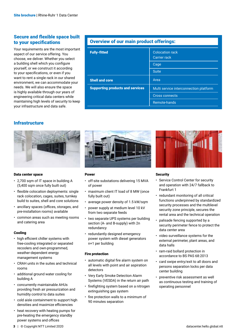#### Secure and flexible space built to your specifications

Your requirements are the most important aspect of our service offering. You choose, we deliver. Whether you select a building shell which you configure yourself, or we construct it according to your specifications, or even if you want to rent a single rack in our shared environment, we can accommodate your needs. We will also ensure the space is highly available through our years of engineering critical data centers while maintaining high levels of security to keep your infrastructure and data safe.

#### **Infrastructure**



#### Data center space

- 2,700 sqm of IT space in building A (5,400 sqm once fully built out)
- flexible colocation deployments: single rack colocation, cages, suites, turnkey build to suites, shell and core solutions
- ancillary spaces (offices, storages, and pre-installation rooms) available
- common areas such as meeting rooms and catering area

#### Cooling

- high efficient chiller systems with free-cooling integrated or separated recoolers and own-programmed, weather-dependent energy management systems
- CRAH units in the suites and technical rooms
- additional ground water cooling for building A
- concurrently maintainable AHUs providing fresh air pressurization and humidity control to data suites
- cold aisle containment to support high densities and maximize efficiencies
- heat recovery with heating pumps for pre-heating the emergency standby power systems and offices



Supporting products and services

Overview of our main product offerings:

#### **Power**

Fully-fitted

Shell and core

- off-site substations delivering 15 MVA of power
- maximum client IT load of 8 MW (once fully built out)
- average power density of 1.5 kW/sqm
- power supply at medium level 10 kV from two separate feeds
- two separate UPS systems per building section (A- and B-supply) with 2n redundancy
- redundantly designed emergency power system with diesel generators n+1 per building

#### Fire protection

- automatic digital fire alarm system on all levels with point and air aspiration detectors
- Very Early Smoke Detection Alarm Systems (VESDA) in the return air path
- firefighting system based on a nitrogen extinguishing gas system
- fire protection walls to a minimum of 90 minutes separation

# **Time!**

Multi service interconnection platform

#### **Security**

Colocation rack Carrier rack

Cross connects Remote-hands

**Cage** Suite

Area

- Service Control Center for security and operation with 24/7 fallback to Frankfurt 1
- redundant monitoring of all critical functions underpinned by standardized security processes and the multilevel security zone principle, secures the rental area and the technical operation
- palisade fencing supported by a security perimeter fence to protect the data center area
- video surveillance systems for the external perimeter, plant areas, and data halls
- ram-raid bollard protection in accordance to BS PAS 68:2013
- card swipe entry/exit to all doors and persons separation locks per data center building
- preventive risk assessment as well as continuous testing and training of operating personnel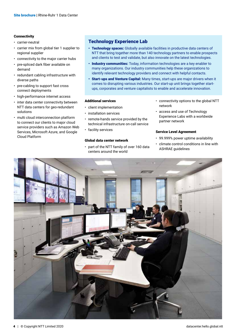#### **Connectivity**

- carrier-neutral
- carrier mix from global tier 1 supplier to regional supplier
- connectivity to the major carrier hubs
- pre-spliced dark fiber available on demand
- redundant cabling infrastructure with diverse paths
- pre-cabling to support fast cross connect deployments
- high-performance internet access
- inter data center connectivity between NTT data centers for geo-redundant solutions
- multi cloud interconnection platform to connect our clients to major cloud service providers such as Amazon Web Services, Microsoft Azure, and Google Cloud Platform

#### Technology Experience Lab

- Technology spaces: Globally available facilities in productive data centers of NTT that bring together more than 140 technology partners to enable prospects and clients to test and validate, but also innovate on the latest technologies.
- Industry communities: Today, information technologies are a key enabler to many organizations. Our industry communities help these organizations to identify relevant technology providers and connect with helpful contacts.
- Start-ups and Venture Capital: Many times, start-ups are major drivers when it comes to disrupting various industries. Our start-up unit brings together startups, corporates and venture capitalists to enable and accelerate innovation.

#### Additional services

- client implementation
- installation services
- remote-hands service provided by the technical infrastructure on-call service
- facility services

#### Global data center network

• part of the NTT family of over 160 data centers around the world

- connectivity options to the global NTT network
- access and use of Technology Experience Labs with a worldwide partner network

#### Service Level Agreement

- 99.999% power uptime availability
- climate control conditions in line with ASHRAE guidelines

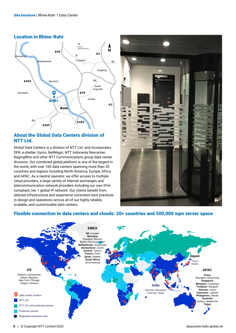



#### About the Global Data Centers division of NTT Ltd.

Global Data Centers is a division of NTT Ltd. and incorporates DPA, e-shelter, Gyron, NetMagic, NTT Indonesia Nexcenter,<br>RagingWire and other NTT Communications group data ce RagingWire and other NTT Communications group data center N divisions. Our combined global platform is one of the largest in the world, with over 160 data centers spanning more than 20 countries and regions including North America, Europe, Africa s and regions including from America, Earope, American<br>and APAC. As a neutral operator, we offer access to multiple<br>cloud providers. a large variety of internet exchanges and cloud providers, a large variety of internet exchanges and<br>telecommunication notwork providers including our own l telecommunication network providers including our own IPv6 compliant, tier 1 global IP network. Our clients benefit from tailored infrastructure and experience consistent best practices in design and operations across all of our highly reliable. scalable, and customizable data centers. eration<br>tomiz<br>1<mark>ecti</mark>



#### Flexible connection to data centers and clouds: 20+ countries and 500,000 sqm server space

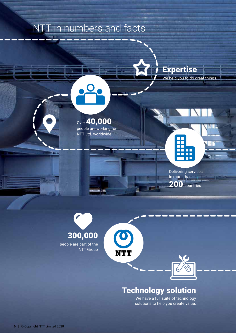## NTT in numbers and facts

Site brochure | Rhine-Ruhr 1 Data Center



Over 40,000 people are working for NTT Ltd. worldwide



Delivering services in more than 200 countries



 $\bullet$ 

NTT

### Technology solution

We have a full suite of technology solutions to help you create value.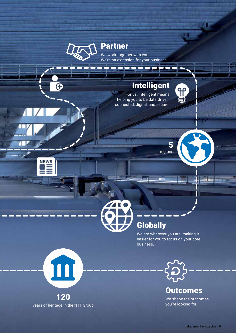

Site brochure | Rhine-Ruhr 1 Data Center

**NEWS** 

Partner

We work together with you. We're an extension for your business.

## Intelligent

For us, intelligent means helping you to be data driven, connected, digital, and secure.



5

。<br>目

## **Globally**

We are wherever you are, making it easier for you to focus on your core business.



**Outcomes** 

We shape the outcomes you're looking for.



years of heritage in the NTT Group